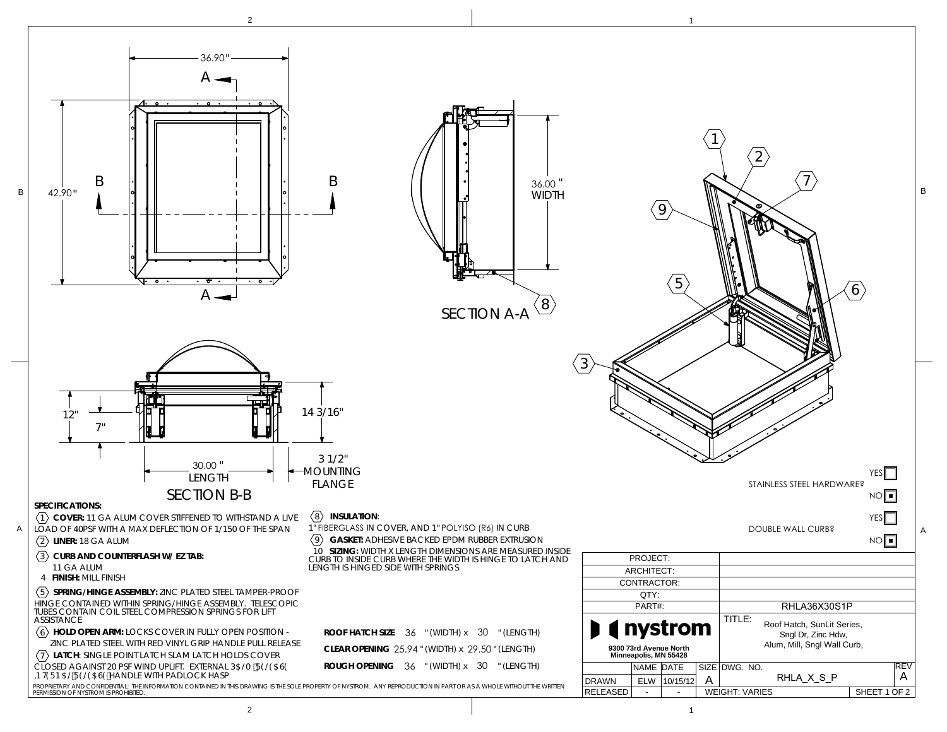